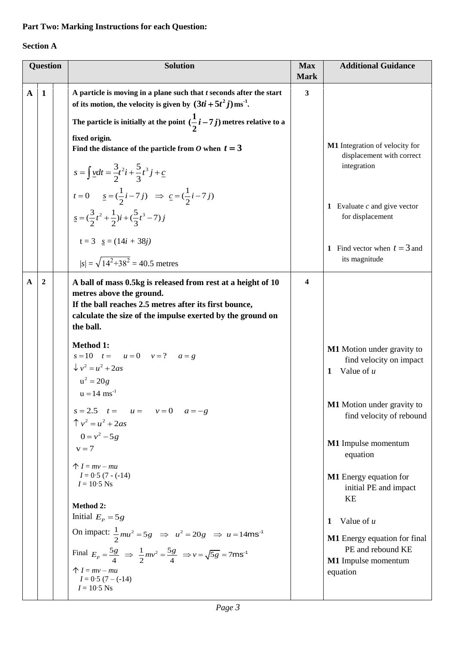## **Part Two: Marking Instructions for each Question:**

## **Section A**

|              | <b>Question</b> |  | <b>Solution</b>                                                                                                                                                                                                                                                                                                                | <b>Max</b><br><b>Mark</b> | <b>Additional Guidance</b>                                                                                |
|--------------|-----------------|--|--------------------------------------------------------------------------------------------------------------------------------------------------------------------------------------------------------------------------------------------------------------------------------------------------------------------------------|---------------------------|-----------------------------------------------------------------------------------------------------------|
| $\mathbf{A}$ | $\mathbf{1}$    |  | A particle is moving in a plane such that $t$ seconds after the start<br>of its motion, the velocity is given by $(3ti + 5t^2j)$ ms <sup>-1</sup> .<br>The particle is initially at the point $(\frac{1}{2}i-7j)$ metres relative to a                                                                                         | 3                         |                                                                                                           |
|              |                 |  | fixed origin.<br>Find the distance of the particle from O when $t = 3$<br>$s = \int \underline{v} dt = \frac{3}{2}t^2i + \frac{5}{3}t^3j + \underline{c}$                                                                                                                                                                      |                           | M1 Integration of velocity for<br>displacement with correct<br>integration                                |
|              |                 |  | $t = 0$ $\underline{s} = (\frac{1}{2}i - 7j)$ $\Rightarrow$ $\underline{c} = (\frac{1}{2}i - 7j)$<br>$\underline{s} = (\frac{3}{2}t^2 + \frac{1}{2})i + (\frac{5}{3}t^3 - 7)j$                                                                                                                                                 |                           | <b>1</b> Evaluate $c$ and give vector<br>for displacement                                                 |
|              |                 |  | $t = 3$ $s = (14i + 38i)$<br>$ s  = \sqrt{14^2 + 38^2} = 40.5$ metres                                                                                                                                                                                                                                                          |                           | 1 Find vector when $t = 3$ and<br>its magnitude                                                           |
| A            | 2               |  | A ball of mass 0.5kg is released from rest at a height of 10<br>metres above the ground.<br>If the ball reaches 2.5 metres after its first bounce,<br>calculate the size of the impulse exerted by the ground on<br>the ball.                                                                                                  | 4                         |                                                                                                           |
|              |                 |  | <b>Method 1:</b><br>$s = 10$ $t = u = 0$ $v = ?$ $a = g$<br>$\sqrt{v^2} = u^2 + 2as$<br>$u^2 = 20g$<br>$u = 14$ ms <sup>-1</sup>                                                                                                                                                                                               |                           | M1 Motion under gravity to<br>find velocity on impact<br>1 Value of $u$                                   |
|              |                 |  | $s = 2.5$ $t = u = v = 0$ $a = -g$<br>$\hat{\Gamma} v^2 = u^2 + 2as$                                                                                                                                                                                                                                                           |                           | M1 Motion under gravity to<br>find velocity of rebound                                                    |
|              |                 |  | $0 = v^2 - 5g$<br>$v = 7$<br>$\uparrow I = mv - mu$                                                                                                                                                                                                                                                                            |                           | M1 Impulse momentum<br>equation                                                                           |
|              |                 |  | $I = 0.5 (7 - (-14))$<br>$I = 10.5$ Ns                                                                                                                                                                                                                                                                                         |                           | <b>M1</b> Energy equation for<br>initial PE and impact<br>KE                                              |
|              |                 |  | <b>Method 2:</b><br>Initial $E_p = 5g$<br>On impact: $\frac{1}{2}mu^2 = 5g \implies u^2 = 20g \implies u = 14\text{ms}^{-1}$<br>Final $E_p = \frac{5g}{4}$ $\Rightarrow$ $\frac{1}{2}mv^2 = \frac{5g}{4}$ $\Rightarrow v = \sqrt{5g} = 7$ ms <sup>-1</sup><br>$\uparrow I = mv - mu$<br>$I = 0.5 (7 - (-14))$<br>$I = 10.5$ Ns |                           | Value of $u$<br>1<br>M1 Energy equation for final<br>PE and rebound KE<br>M1 Impulse momentum<br>equation |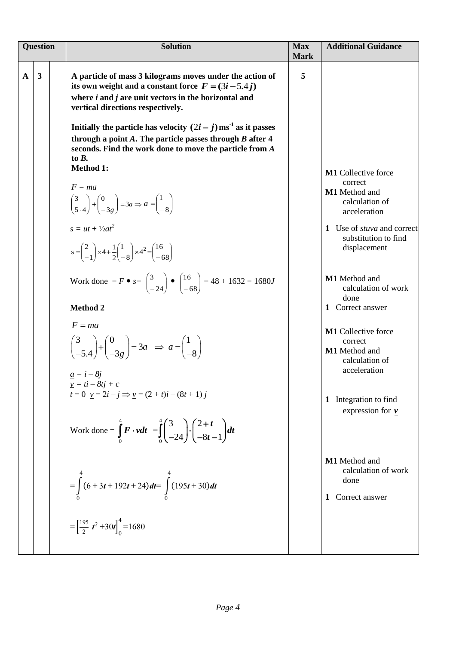| <b>Question</b> |                         | <b>Solution</b>                                                                                                                                                                                                                                                                                                                                                                                                                                                  | <b>Max</b><br><b>Mark</b> | <b>Additional Guidance</b>                                                                                             |  |
|-----------------|-------------------------|------------------------------------------------------------------------------------------------------------------------------------------------------------------------------------------------------------------------------------------------------------------------------------------------------------------------------------------------------------------------------------------------------------------------------------------------------------------|---------------------------|------------------------------------------------------------------------------------------------------------------------|--|
| $\mathbf{A}$    | $\overline{\mathbf{3}}$ | A particle of mass 3 kilograms moves under the action of<br>its own weight and a constant force $F = (3i - 5.4j)$<br>where $i$ and $j$ are unit vectors in the horizontal and<br>vertical directions respectively.<br>Initially the particle has velocity $(2i - j)$ ms <sup>-1</sup> as it passes<br>through a point $A$ . The particle passes through $B$ after $4$<br>seconds. Find the work done to move the particle from A<br>to $B$ .<br><b>Method 1:</b> | 5                         |                                                                                                                        |  |
|                 |                         | $F = ma$<br>$\begin{pmatrix} 3 \\ 5 \cdot 4 \end{pmatrix} + \begin{pmatrix} 0 \\ -3g \end{pmatrix} = 3a \Rightarrow a = \begin{pmatrix} 1 \\ -8 \end{pmatrix}$<br>$s = ut + \frac{1}{2}at^2$                                                                                                                                                                                                                                                                     |                           | M1 Collective force<br>correct<br>M1 Method and<br>calculation of<br>acceleration<br>1 Use of <i>stuva</i> and correct |  |
|                 |                         | $s = \begin{pmatrix} 2 \\ -1 \end{pmatrix} \times 4 + \frac{1}{2} \begin{pmatrix} 1 \\ -8 \end{pmatrix} \times 4^2 = \begin{pmatrix} 16 \\ -68 \end{pmatrix}$                                                                                                                                                                                                                                                                                                    |                           | substitution to find<br>displacement<br>M1 Method and                                                                  |  |
|                 |                         | Work done = $F \bullet s = \begin{pmatrix} 3 \\ -24 \end{pmatrix} \bullet \begin{pmatrix} 16 \\ -68 \end{pmatrix} = 48 + 1632 = 1680J$<br><b>Method 2</b>                                                                                                                                                                                                                                                                                                        |                           | calculation of work<br>done<br>1 Correct answer                                                                        |  |
|                 |                         | $F = ma$<br>$\begin{pmatrix} 3 \\ -5.4 \end{pmatrix} + \begin{pmatrix} 0 \\ -3g \end{pmatrix} = 3a \Rightarrow a = \begin{pmatrix} 1 \\ -8 \end{pmatrix}$<br>$\frac{a}{a} = i - 8j$<br>$\underline{v} = t\overline{i} - 8t\overline{j} + c$                                                                                                                                                                                                                      |                           | <b>M1</b> Collective force<br>correct<br>M1 Method and<br>calculation of<br>acceleration                               |  |
|                 |                         | $t = 0$ $\underline{v} = 2i - j \implies \underline{v} = (2 + t)i - (8t + 1)j$<br>Work done = $\int_{0}^{4} F \cdot v dt = \int_{0}^{4} \left(\frac{3}{-24}\right) \cdot \left(\frac{2+t}{-8t-1}\right) dt$                                                                                                                                                                                                                                                      |                           | Integration to find<br>1<br>expression for $\nu$                                                                       |  |
|                 |                         | $=\int_{0}^{4} (6+3t+192t+24) dt = \int_{0}^{4} (195t+30) dt$                                                                                                                                                                                                                                                                                                                                                                                                    |                           | M1 Method and<br>calculation of work<br>done<br>1 Correct answer                                                       |  |
|                 |                         | $=\left[\frac{195}{2} t^2 + 30t\right]_0^4 = 1680$                                                                                                                                                                                                                                                                                                                                                                                                               |                           |                                                                                                                        |  |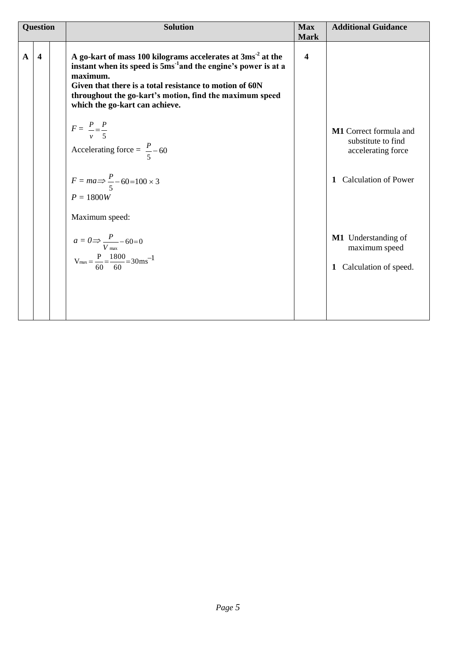| <b>Question</b> |                         | <b>Solution</b>                                                                                                                                                                                                                                                                                                 | <b>Max</b><br><b>Mark</b> | <b>Additional Guidance</b>                                                                                                                                                              |
|-----------------|-------------------------|-----------------------------------------------------------------------------------------------------------------------------------------------------------------------------------------------------------------------------------------------------------------------------------------------------------------|---------------------------|-----------------------------------------------------------------------------------------------------------------------------------------------------------------------------------------|
| $\mathbf{A}$    | $\overline{\mathbf{4}}$ | A go-kart of mass 100 kilograms accelerates at 3ms <sup>-2</sup> at the<br>instant when its speed is $5ms-1$ and the engine's power is at a<br>maximum.<br>Given that there is a total resistance to motion of 60N<br>throughout the go-kart's motion, find the maximum speed<br>which the go-kart can achieve. | 4                         |                                                                                                                                                                                         |
|                 |                         | $F = \frac{P}{v} = \frac{P}{5}$<br>Accelerating force = $\frac{P}{5}$ – 60<br>$F = ma \Rightarrow \frac{P}{5} - 60 = 100 \times 3$<br>$P = 1800W$<br>Maximum speed:<br>$a = 0 \Rightarrow \frac{P}{V_{\text{max}}} - 60 = 0$<br>V <sub>max</sub> = $\frac{P}{60} = \frac{1800}{60} = 30 \text{ms}^{-1}$         |                           | M1 Correct formula and<br>substitute to find<br>accelerating force<br><b>Calculation of Power</b><br>$\mathbf{1}$<br>M1 Understanding of<br>maximum speed<br>Calculation of speed.<br>1 |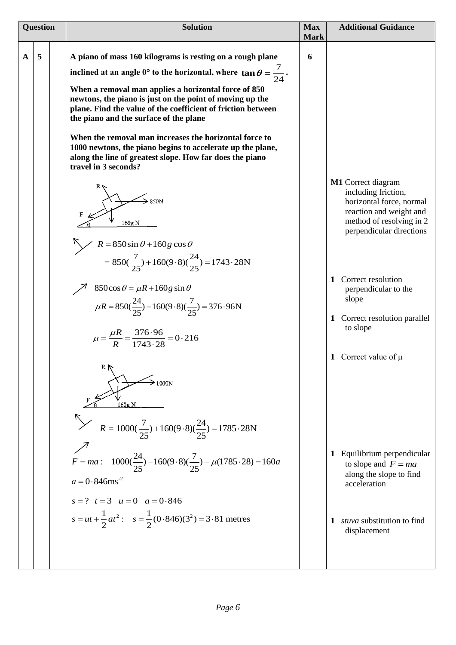| <b>Question</b> |   | <b>Solution</b>                                                                                                                                                                                                                                                                                                                                                                                                                                                                                                                                                                                                                                                                                                                                                                                                                                                                                                                                                                                                                                                                                                                                                                                                                                           | <b>Max</b>       | <b>Additional Guidance</b>                                                                                                                                                                                                                                                                                                                                                                                                                                |  |
|-----------------|---|-----------------------------------------------------------------------------------------------------------------------------------------------------------------------------------------------------------------------------------------------------------------------------------------------------------------------------------------------------------------------------------------------------------------------------------------------------------------------------------------------------------------------------------------------------------------------------------------------------------------------------------------------------------------------------------------------------------------------------------------------------------------------------------------------------------------------------------------------------------------------------------------------------------------------------------------------------------------------------------------------------------------------------------------------------------------------------------------------------------------------------------------------------------------------------------------------------------------------------------------------------------|------------------|-----------------------------------------------------------------------------------------------------------------------------------------------------------------------------------------------------------------------------------------------------------------------------------------------------------------------------------------------------------------------------------------------------------------------------------------------------------|--|
| $\mathbf A$     | 5 | A piano of mass 160 kilograms is resting on a rough plane<br>inclined at an angle $\theta$ ° to the horizontal, where $\tan \theta = \frac{7}{24}$ .<br>When a removal man applies a horizontal force of 850<br>newtons, the piano is just on the point of moving up the<br>plane. Find the value of the coefficient of friction between<br>the piano and the surface of the plane<br>When the removal man increases the horizontal force to<br>1000 newtons, the piano begins to accelerate up the plane,<br>along the line of greatest slope. How far does the piano<br>travel in 3 seconds?<br>850N<br>160g N<br>R = 850sin $\theta$ + 160g cos $\theta$<br>= 850( $\frac{7}{25}$ ) + 160(9 · 8)( $\frac{24}{25}$ ) = 1743 · 28N<br>$850\cos\theta = \mu R + 160g\sin\theta$<br>$\mu R = 850(\frac{24}{25}) - 160(9.8)(\frac{7}{25}) = 376.96N$<br>$\mu = \frac{\mu R}{R} = \frac{376.96}{1743.28} = 0.216$<br>R.<br>1000N<br>160g N<br>$\frac{7}{2}$ $R = 1000(\frac{7}{25}) + 160(9.8)(\frac{24}{25}) = 1785.28N$<br>$F = ma: 1000(\frac{24}{25}) - 160(9.8)(\frac{7}{25}) - \mu(1785.28) = 160a$<br>$a = 0.846$ ms <sup>-2</sup><br>$s = ?$ $t = 3$ $u = 0$ $a = 0.846$<br>$s = ut + \frac{1}{2}at^2$ : $s = \frac{1}{2}(0.846)(3^2) = 3.81$ metres | <b>Mark</b><br>6 | M1 Correct diagram<br>including friction,<br>horizontal force, normal<br>reaction and weight and<br>method of resolving in 2<br>perpendicular directions<br>Correct resolution<br>1<br>perpendicular to the<br>slope<br>Correct resolution parallel<br>1<br>to slope<br>1 Correct value of $\mu$<br>Equilibrium perpendicular<br>1<br>to slope and $F = ma$<br>along the slope to find<br>acceleration<br>stuva substitution to find<br>1<br>displacement |  |
|                 |   |                                                                                                                                                                                                                                                                                                                                                                                                                                                                                                                                                                                                                                                                                                                                                                                                                                                                                                                                                                                                                                                                                                                                                                                                                                                           |                  |                                                                                                                                                                                                                                                                                                                                                                                                                                                           |  |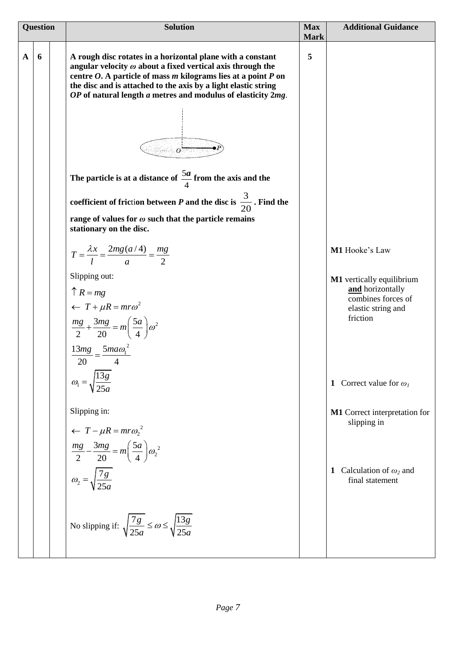| <b>Question</b> |   | <b>Solution</b>                                                                                                                                                                                                                                                                                                                                                                                                                                                                                                                                                                                                                                                                                                                                                                                                                                                                    | <b>Max</b><br><b>Mark</b> | <b>Additional Guidance</b>                                                                                                                            |  |
|-----------------|---|------------------------------------------------------------------------------------------------------------------------------------------------------------------------------------------------------------------------------------------------------------------------------------------------------------------------------------------------------------------------------------------------------------------------------------------------------------------------------------------------------------------------------------------------------------------------------------------------------------------------------------------------------------------------------------------------------------------------------------------------------------------------------------------------------------------------------------------------------------------------------------|---------------------------|-------------------------------------------------------------------------------------------------------------------------------------------------------|--|
| $\mathbf{A}$    | 6 | A rough disc rotates in a horizontal plane with a constant<br>angular velocity $\omega$ about a fixed vertical axis through the<br>centre $O$ . A particle of mass $m$ kilograms lies at a point $P$ on<br>the disc and is attached to the axis by a light elastic string<br>OP of natural length a metres and modulus of elasticity 2mg.<br>$\sim$ $\sim$<br>The particle is at a distance of $\frac{5a}{4}$ from the axis and the<br>coefficient of friction between P and the disc is $\frac{3}{20}$ . Find the<br>range of values for $\omega$ such that the particle remains<br>stationary on the disc.<br>$T = \frac{\lambda x}{l} = \frac{2mg(a/4)}{a} = \frac{mg}{2}$<br>Slipping out:<br>$\uparrow$ R = mg<br>$\leftarrow T + \mu R = m r \omega^2$<br>$\frac{mg}{2} + \frac{3mg}{20} = m\left(\frac{5a}{4}\right)\omega^2$<br>$\frac{13mg}{1} = \frac{5ma\omega_1^2}{1}$ | 5                         | M1 Hooke's Law<br>M1 vertically equilibrium<br>and horizontally<br>combines forces of<br>elastic string and<br>friction                               |  |
|                 |   | 20<br>$\omega_1 = \sqrt{\frac{1}{2}}$<br>Slipping in:<br>$\leftarrow T - \mu R = m r \omega_2^2$<br>$\frac{mg}{2} - \frac{3mg}{20} = m\left(\frac{5a}{4}\right)\omega^2$<br>$\omega_2 = \sqrt{\frac{7g}{25a}}$                                                                                                                                                                                                                                                                                                                                                                                                                                                                                                                                                                                                                                                                     |                           | Correct value for $\omega_I$<br>$\mathbf{1}$<br>M1 Correct interpretation for<br>slipping in<br>Calculation of $\omega_2$ and<br>1<br>final statement |  |
|                 |   | No slipping if: $\sqrt{\frac{7g}{25a}} \le \omega \le \sqrt{\frac{13g}{25a}}$                                                                                                                                                                                                                                                                                                                                                                                                                                                                                                                                                                                                                                                                                                                                                                                                      |                           |                                                                                                                                                       |  |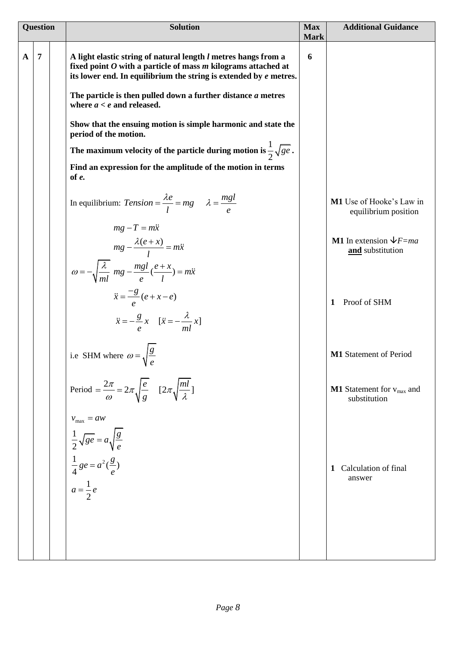| <b>Question</b> |                | <b>Solution</b>                                                                                                                                                                                                                                                                                                                                                                                                                                                                                                                                               | <b>Max</b><br><b>Mark</b> | <b>Additional Guidance</b>                                                     |
|-----------------|----------------|---------------------------------------------------------------------------------------------------------------------------------------------------------------------------------------------------------------------------------------------------------------------------------------------------------------------------------------------------------------------------------------------------------------------------------------------------------------------------------------------------------------------------------------------------------------|---------------------------|--------------------------------------------------------------------------------|
| $\mathbf{A}$    | $\overline{7}$ | A light elastic string of natural length l metres hangs from a<br>fixed point $O$ with a particle of mass $m$ kilograms attached at<br>its lower end. In equilibrium the string is extended by $e$ metres.<br>The particle is then pulled down a further distance a metres<br>where $a < e$ and released.<br>Show that the ensuing motion is simple harmonic and state the<br>period of the motion.<br>The maximum velocity of the particle during motion is $\frac{1}{2}\sqrt{ge}$ .<br>Find an expression for the amplitude of the motion in terms<br>of e. | 6                         |                                                                                |
|                 |                | In equilibrium: Tension = $\frac{\lambda e}{l}$ = mg $\lambda = \frac{mgl}{\rho}$<br>$mg - T = m\ddot{x}$                                                                                                                                                                                                                                                                                                                                                                                                                                                     |                           | M1 Use of Hooke's Law in<br>equilibrium position                               |
|                 |                | $mg - \frac{\lambda(e+x)}{l} = m\ddot{x}$<br>$\omega = -\sqrt{\frac{\lambda}{ml}} mg - \frac{mgl}{e}(\frac{e+x}{l}) = m\ddot{x}$<br>$\ddot{x} = \frac{-g}{e}(e + x - e)$<br>$\ddot{x} = -\frac{g}{e}x$ $[\ddot{x} = -\frac{\lambda}{ml}x]$                                                                                                                                                                                                                                                                                                                    |                           | <b>M1</b> In extension $\sqrt{F}$ =ma<br>and substitution<br>Proof of SHM<br>1 |
|                 |                | i.e SHM where $\omega = \sqrt{\frac{g}{r}}$                                                                                                                                                                                                                                                                                                                                                                                                                                                                                                                   |                           | <b>M1</b> Statement of Period                                                  |
|                 |                | Period = $\frac{2\pi}{\omega}$ = $2\pi \sqrt{\frac{e}{g}}$ [ $2\pi \sqrt{\frac{ml}{\lambda}}$ ]<br>$v_{\text{max}} = aw$                                                                                                                                                                                                                                                                                                                                                                                                                                      |                           | <b>M1</b> Statement for $v_{\text{max}}$ and<br>substitution                   |
|                 |                | $rac{1}{2}\sqrt{ge} = a\sqrt{\frac{g}{e}}$<br>$rac{1}{4}ge = a^2(\frac{g}{e})$<br>$a = \frac{1}{2}e$                                                                                                                                                                                                                                                                                                                                                                                                                                                          |                           | Calculation of final<br>1<br>answer                                            |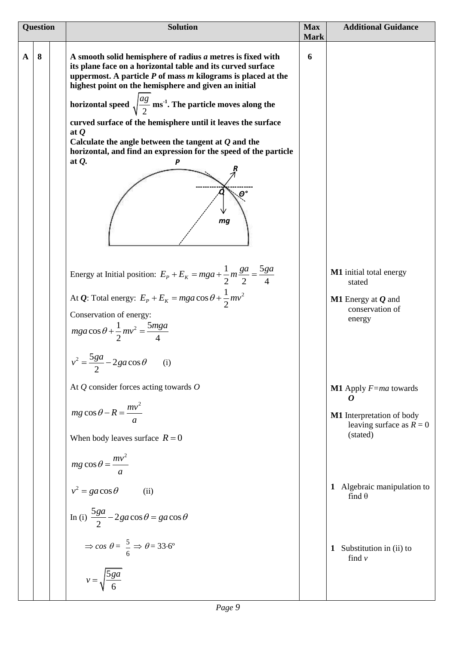| <b>Question</b> |   | <b>Solution</b>                                                                                                                                                                                                                                                                                                                                                                                                                                                                                                                                                                                                           | <b>Max</b><br><b>Mark</b> | <b>Additional Guidance</b>                                                                                                     |
|-----------------|---|---------------------------------------------------------------------------------------------------------------------------------------------------------------------------------------------------------------------------------------------------------------------------------------------------------------------------------------------------------------------------------------------------------------------------------------------------------------------------------------------------------------------------------------------------------------------------------------------------------------------------|---------------------------|--------------------------------------------------------------------------------------------------------------------------------|
| $\mathbf{A}$    | 8 | A smooth solid hemisphere of radius $a$ metres is fixed with<br>its plane face on a horizontal table and its curved surface<br>uppermost. A particle $P$ of mass $m$ kilograms is placed at the<br>highest point on the hemisphere and given an initial<br>horizontal speed $\sqrt{\frac{ag}{2}}$ ms <sup>-1</sup> . The particle moves along the<br>curved surface of the hemisphere until it leaves the surface<br>at $Q$<br>Calculate the angle between the tangent at $Q$ and the<br>horizontal, and find an expression for the speed of the particle<br>at $Q$ .<br>P<br>$\boldsymbol{\varTheta}^{\mathsf{o}}$<br>mg | 6                         |                                                                                                                                |
|                 |   | Energy at Initial position: $E_p + E_k = mga + \frac{1}{2}m\frac{ga}{2} = \frac{5ga}{4}$<br>At <i>Q</i> : Total energy: $E_p + E_k = mga \cos \theta + \frac{1}{2}mv^2$<br>Conservation of energy:<br>$mga\cos\theta + \frac{1}{2}mv^2 = \frac{5mga}{4}$<br>$v^2 = \frac{5ga}{2} - 2ga\cos\theta$<br>(i)                                                                                                                                                                                                                                                                                                                  |                           | M1 initial total energy<br>stated<br><b>M1</b> Energy at $Q$ and<br>conservation of<br>energy                                  |
|                 |   | At $Q$ consider forces acting towards $O$<br>$mg \cos \theta - R = \frac{mv^2}{a}$<br>When body leaves surface $R = 0$                                                                                                                                                                                                                                                                                                                                                                                                                                                                                                    |                           | <b>M1</b> Apply $F=ma$ towards<br>$\boldsymbol{\theta}$<br>M1 Interpretation of body<br>leaving surface as $R = 0$<br>(stated) |
|                 |   | $mg \cos \theta = \frac{mv^2}{a}$<br>$v^2 = ga \cos \theta$<br>(iii)<br>In (i) $\frac{5ga}{2} - 2ga\cos\theta = ga\cos\theta$                                                                                                                                                                                                                                                                                                                                                                                                                                                                                             |                           | Algebraic manipulation to<br>1<br>find $\theta$                                                                                |
|                 |   | $\Rightarrow$ cos $\theta = \frac{5}{6} \Rightarrow \theta = 33.6^{\circ}$<br>$v = \sqrt{\frac{5ga}{6}}$                                                                                                                                                                                                                                                                                                                                                                                                                                                                                                                  |                           | Substitution in (ii) to<br>1<br>find $\nu$                                                                                     |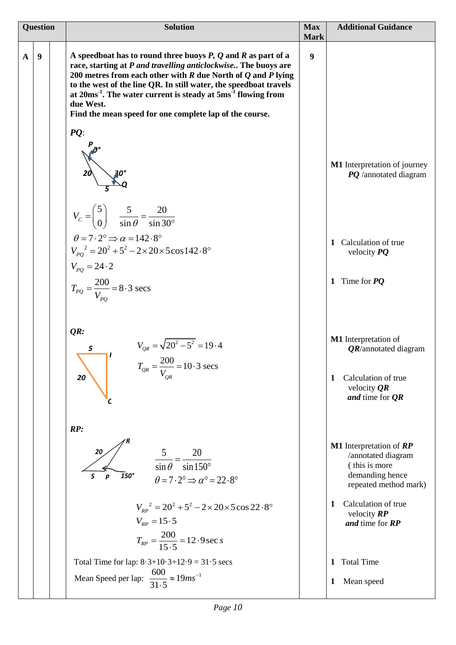| <b>Question</b> |   | <b>Solution</b>                                                                                                                                                                                                                                                                                                                                                                                                                     | <b>Max</b>                      | <b>Additional Guidance</b>                                                                                               |  |
|-----------------|---|-------------------------------------------------------------------------------------------------------------------------------------------------------------------------------------------------------------------------------------------------------------------------------------------------------------------------------------------------------------------------------------------------------------------------------------|---------------------------------|--------------------------------------------------------------------------------------------------------------------------|--|
| $\mathbf{A}$    | 9 | A speedboat has to round three buoys $P$ , $Q$ and $R$ as part of a<br>race, starting at P and travelling anticlockwise The buoys are<br>200 metres from each other with $R$ due North of $Q$ and $P$ lying<br>to the west of the line QR. In still water, the speedboat travels<br>at $20ms^{-1}$ . The water current is steady at $5ms^{-1}$ flowing from<br>due West.<br>Find the mean speed for one complete lap of the course. | <b>Mark</b><br>$\boldsymbol{9}$ |                                                                                                                          |  |
|                 |   | $PQ$ :                                                                                                                                                                                                                                                                                                                                                                                                                              |                                 | M1 Interpretation of journey<br>PQ /annotated diagram                                                                    |  |
|                 |   | $V_c = \begin{pmatrix} 5 \\ 0 \end{pmatrix}$ $\frac{5}{\sin \theta} = \frac{20}{\sin 30^\circ}$<br>$\theta = 7 \cdot 2^{\circ} \Rightarrow \alpha = 142.8^{\circ}$<br>$V_{PQ}^2 = 20^2 + 5^2 - 2 \times 20 \times 5 \cos 142.8^\circ$<br>$V_{PQ} = 24.2$<br>$T_{PQ} = \frac{200}{V_{PQ}} = 8.3 \text{ secs}$                                                                                                                        |                                 | Calculation of true<br>1<br>velocity $PQ$<br>Time for $PQ$<br>$\mathbf{1}$                                               |  |
|                 |   | QR:<br>$V_{QR} = \sqrt{20^2 - 5^2} = 19.4$<br>$T_{QR} = \frac{200}{V_{QR}} = 10.3 \text{ secs}$<br>5<br>20                                                                                                                                                                                                                                                                                                                          |                                 | M1 Interpretation of<br><b>QR</b> /annotated diagram<br>Calculation of true<br>1<br>velocity $QR$<br>and time for $QR$   |  |
|                 |   | RP:<br>20<br>$\frac{5}{\sin \theta} = \frac{20}{\sin 150^{\circ}}$<br>$\overline{1}50^\circ$<br>5<br>P<br>$\theta = 7 \cdot 2^{\circ} \Rightarrow \alpha^{\circ} = 22 \cdot 8^{\circ}$                                                                                                                                                                                                                                              |                                 | <b>M1</b> Interpretation of <b>RP</b><br>/annotated diagram<br>(this is more<br>demanding hence<br>repeated method mark) |  |
|                 |   | $V_{RP}^2 = 20^2 + 5^2 - 2 \times 20 \times 5 \cos 22.8^\circ$<br>$V_{RP} = 15.5$<br>$T_{RP} = \frac{200}{15 \cdot 5} = 12.9 \sec s$                                                                                                                                                                                                                                                                                                |                                 | Calculation of true<br>1<br>velocity $RP$<br>and time for RP                                                             |  |
|                 |   | Total Time for lap: $8.3 + 10.3 + 12.9 = 31.5$ secs<br>Mean Speed per lap: $\frac{600}{31.5} \approx 19ms^{-1}$                                                                                                                                                                                                                                                                                                                     |                                 | <b>Total Time</b><br>1<br>Mean speed<br>1                                                                                |  |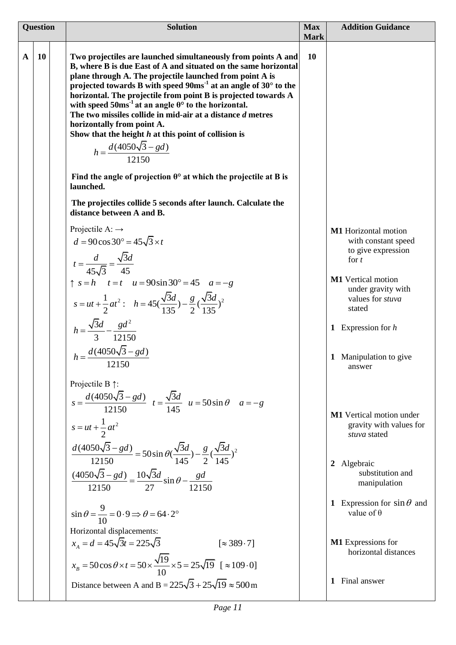| <b>Question</b> |           | <b>Solution</b>                                                                                                                                                                                                                                                                                                                                                                                                                                                                                                                                                                                                       |                          | <b>Addition Guidance</b>                                                                                                               |  |
|-----------------|-----------|-----------------------------------------------------------------------------------------------------------------------------------------------------------------------------------------------------------------------------------------------------------------------------------------------------------------------------------------------------------------------------------------------------------------------------------------------------------------------------------------------------------------------------------------------------------------------------------------------------------------------|--------------------------|----------------------------------------------------------------------------------------------------------------------------------------|--|
| $\mathbf{A}$    | <b>10</b> | Two projectiles are launched simultaneously from points A and<br>B, where B is due East of A and situated on the same horizontal<br>plane through A. The projectile launched from point A is<br>projected towards B with speed $90ms-1$ at an angle of $30^{\circ}$ to the<br>horizontal. The projectile from point B is projected towards A<br>with speed $50ms-1$ at an angle $\theta^{\circ}$ to the horizontal.<br>The two missiles collide in mid-air at a distance d metres<br>horizontally from point A.<br>Show that the height $h$ at this point of collision is<br>$h = \frac{d(4050\sqrt{3} - gd)}{12150}$ | <b>Mark</b><br><b>10</b> |                                                                                                                                        |  |
|                 |           | Find the angle of projection $\theta^{\circ}$ at which the projectile at B is<br>launched.                                                                                                                                                                                                                                                                                                                                                                                                                                                                                                                            |                          |                                                                                                                                        |  |
|                 |           | The projectiles collide 5 seconds after launch. Calculate the<br>distance between A and B.                                                                                                                                                                                                                                                                                                                                                                                                                                                                                                                            |                          |                                                                                                                                        |  |
|                 |           | Projectile A: $\rightarrow$<br>$d = 90 \cos 30^{\circ} = 45\sqrt{3} \times t$<br>$t = \frac{d}{45\sqrt{3}} = \frac{\sqrt{3}d}{45}$                                                                                                                                                                                                                                                                                                                                                                                                                                                                                    |                          | M1 Horizontal motion<br>with constant speed<br>to give expression<br>for $t$                                                           |  |
|                 |           | $\uparrow$ s = h t = t u = 90sin 30° = 45 a = -g<br>$s = ut + \frac{1}{2}at^2$ : $h = 45(\frac{\sqrt{3}d}{135}) - \frac{g}{2}(\frac{\sqrt{3}d}{135})^2$                                                                                                                                                                                                                                                                                                                                                                                                                                                               |                          | <b>M1</b> Vertical motion<br>under gravity with<br>values for stuva<br>stated                                                          |  |
|                 |           | $h = \frac{\sqrt{3}d}{3} - \frac{gd^2}{12150}$                                                                                                                                                                                                                                                                                                                                                                                                                                                                                                                                                                        |                          | 1 Expression for $h$                                                                                                                   |  |
|                 |           | $h = \frac{d(4050\sqrt{3} - gd)}{12150}$                                                                                                                                                                                                                                                                                                                                                                                                                                                                                                                                                                              |                          | 1 Manipulation to give<br>answer                                                                                                       |  |
|                 |           | Projectile B $\uparrow$ :<br>$s = \frac{d(4050\sqrt{3} - gd)}{12150}$ $t = \frac{\sqrt{3}d}{145}$ $u = 50\sin\theta$ $a = -g$<br>$s = ut + \frac{1}{2}at^2$<br>$\frac{d(4050\sqrt{3}-gd)}{12150} = 50\sin\theta(\frac{\sqrt{3}d}{145}) - \frac{g}{2}(\frac{\sqrt{3}d}{145})^2$<br>$\frac{(4050\sqrt{3}-gd)}{12150} = \frac{10\sqrt{3}d}{27}\sin\theta - \frac{gd}{12150}$                                                                                                                                                                                                                                             |                          | M1 Vertical motion under<br>gravity with values for<br>stuva stated<br>Algebraic<br>$\overline{2}$<br>substitution and<br>manipulation |  |
|                 |           | $\sin \theta = \frac{9}{10} = 0.9 \implies \theta = 64.2^{\circ}$                                                                                                                                                                                                                                                                                                                                                                                                                                                                                                                                                     |                          | 1 Expression for $\sin \theta$ and<br>value of $\theta$                                                                                |  |
|                 |           | Horizontal displacements:<br>$x_A = d = 45\sqrt{3}t = 225\sqrt{3}$<br>$\approx 389.7$<br>$x_B = 50 \cos \theta \times t = 50 \times \frac{\sqrt{19}}{10} \times 5 = 25 \sqrt{19}$ [ $\approx 109.0$ ]                                                                                                                                                                                                                                                                                                                                                                                                                 |                          | M1 Expressions for<br>horizontal distances                                                                                             |  |
|                 |           | Distance between A and B = $225\sqrt{3} + 25\sqrt{19} \approx 500 \text{ m}$                                                                                                                                                                                                                                                                                                                                                                                                                                                                                                                                          |                          | Final answer<br>1                                                                                                                      |  |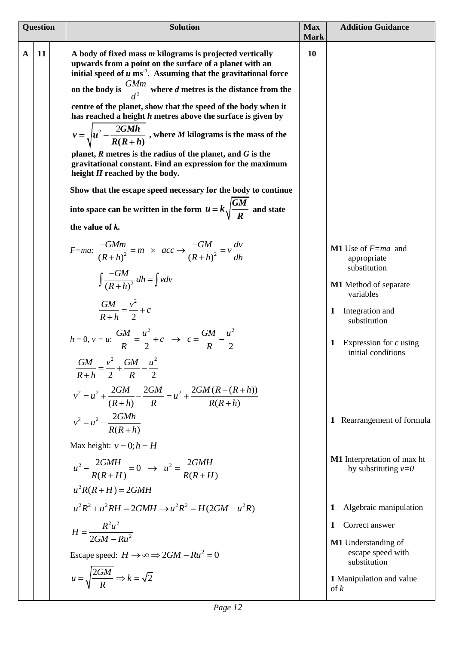| <b>Question</b> |    | <b>Solution</b>                                                                                                                                                                                                        |    | <b>Addition Guidance</b>                                    |  |
|-----------------|----|------------------------------------------------------------------------------------------------------------------------------------------------------------------------------------------------------------------------|----|-------------------------------------------------------------|--|
| $\mathbf A$     | 11 | A body of fixed mass $m$ kilograms is projected vertically<br>upwards from a point on the surface of a planet with an<br>initial speed of $u$ ms <sup>-1</sup> . Assuming that the gravitational force                 | 10 |                                                             |  |
|                 |    | on the body is $\frac{GMm}{d^2}$ where d metres is the distance from the                                                                                                                                               |    |                                                             |  |
|                 |    | centre of the planet, show that the speed of the body when it<br>has reached a height $h$ metres above the surface is given by<br>$v = \sqrt{u^2 - \frac{2GMh}{R(R+h)}}$ , where <i>M</i> kilograms is the mass of the |    |                                                             |  |
|                 |    | planet, $R$ metres is the radius of the planet, and $G$ is the<br>gravitational constant. Find an expression for the maximum<br>height H reached by the body.                                                          |    |                                                             |  |
|                 |    | Show that the escape speed necessary for the body to continue                                                                                                                                                          |    |                                                             |  |
|                 |    | into space can be written in the form $u = k \sqrt{\frac{GM}{R}}$ and state                                                                                                                                            |    |                                                             |  |
|                 |    | the value of k.                                                                                                                                                                                                        |    |                                                             |  |
|                 |    | $F=ma$ : $\frac{-GMm}{(R+h)^2} = m \times acc \rightarrow \frac{-GM}{(R+h)^2} = v \frac{dv}{dh}$                                                                                                                       |    | <b>M1</b> Use of $F=ma$ and<br>appropriate<br>substitution  |  |
|                 |    | $\int \frac{-GM}{(R+h)^2} dh = \int v dv$                                                                                                                                                                              |    | <b>M1</b> Method of separate<br>variables                   |  |
|                 |    | $\frac{GM}{R+h} = \frac{v^2}{2} + c$                                                                                                                                                                                   |    | Integration and<br>1<br>substitution                        |  |
|                 |    | $h = 0, v = u: \frac{GM}{R} = \frac{u^2}{2} + c \rightarrow c = \frac{GM}{R} - \frac{u^2}{2}$                                                                                                                          |    | Expression for $c$ using<br>1<br>initial conditions         |  |
|                 |    | $GM$ $v^2$ $GM$ $u^2$<br>$\frac{}{R+h}=\frac{}{2}+\frac{}{R}$                                                                                                                                                          |    |                                                             |  |
|                 |    | $v^2 = u^2 + \frac{2GM}{(R+h)} - \frac{2GM}{R} = u^2 + \frac{2GM(R-(R+h))}{R(R+h)}$                                                                                                                                    |    |                                                             |  |
|                 |    | $v^2 = u^2 - \frac{2G M h}{R(R+h)}$                                                                                                                                                                                    |    | 1 Rearrangement of formula                                  |  |
|                 |    | Max height: $v = 0; h = H$                                                                                                                                                                                             |    |                                                             |  |
|                 |    | $u^2 - \frac{2GMH}{R(R+H)} = 0 \rightarrow u^2 = \frac{2GMH}{R(R+H)}$                                                                                                                                                  |    | <b>M1</b> Interpretation of max ht<br>by substituting $v=0$ |  |
|                 |    | $u^2R(R+H) = 2GMH$                                                                                                                                                                                                     |    |                                                             |  |
|                 |    | $u^2R^2 + u^2RH = 2GMH \rightarrow u^2R^2 = H(2GM - u^2R)$                                                                                                                                                             |    | Algebraic manipulation<br>1                                 |  |
|                 |    | $H = \frac{R^2 u^2}{2GM - Ru^2}$                                                                                                                                                                                       |    | Correct answer<br>1                                         |  |
|                 |    | Escape speed: $H \rightarrow \infty \Rightarrow 2GM - Ru^2 = 0$                                                                                                                                                        |    | M1 Understanding of<br>escape speed with                    |  |
|                 |    | $u = \sqrt{\frac{2GM}{R}} \Rightarrow k = \sqrt{2}$                                                                                                                                                                    |    | substitution<br>1 Manipulation and value<br>$\int k$        |  |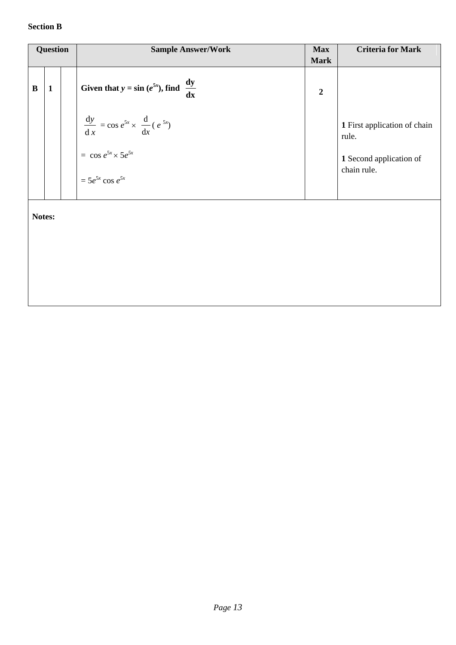### **Section B**

| <b>Question</b> |              | <b>Sample Answer/Work</b>                                                                                              | <b>Max</b>                    | <b>Criteria for Mark</b>                                                        |
|-----------------|--------------|------------------------------------------------------------------------------------------------------------------------|-------------------------------|---------------------------------------------------------------------------------|
| $\bf{B}$        | $\mathbf{1}$ | Given that $y = \sin(e^{5x})$ , find $\frac{dy}{dx}$                                                                   | <b>Mark</b><br>$\overline{2}$ |                                                                                 |
|                 |              | $\frac{dy}{dx} = \cos e^{5x} \times \frac{d}{dx} (e^{5x})$<br>$=$ cos $e^{5x} \times 5e^{5x}$<br>$=5e^{5x}\cos e^{5x}$ |                               | 1 First application of chain<br>rule.<br>1 Second application of<br>chain rule. |
| Notes:          |              |                                                                                                                        |                               |                                                                                 |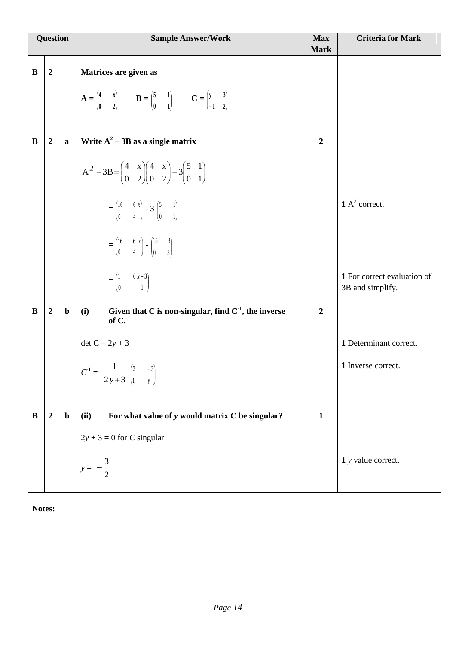| <b>Question</b> |                  |             | <b>Sample Answer/Work</b>                                                                                                                                                            | <b>Max</b><br><b>Mark</b> | <b>Criteria for Mark</b>                        |
|-----------------|------------------|-------------|--------------------------------------------------------------------------------------------------------------------------------------------------------------------------------------|---------------------------|-------------------------------------------------|
| B               | $\overline{2}$   |             | Matrices are given as                                                                                                                                                                |                           |                                                 |
|                 |                  |             | $\mathbf{A} = \begin{pmatrix} 4 & x \\ 0 & 2 \end{pmatrix}$ $\mathbf{B} = \begin{pmatrix} 5 & 1 \\ 0 & 1 \end{pmatrix}$ $\mathbf{C} = \begin{pmatrix} y & 3 \\ -1 & 2 \end{pmatrix}$ |                           |                                                 |
| B               | $\overline{2}$   | $\mathbf a$ | Write $A^2 - 3B$ as a single matrix                                                                                                                                                  | $\overline{2}$            |                                                 |
|                 |                  |             | $A^2 - 3B = \begin{pmatrix} 4 & x \\ 0 & 2 \end{pmatrix} \begin{pmatrix} 4 & x \\ 0 & 2 \end{pmatrix} - 3 \begin{pmatrix} 5 & 1 \\ 0 & 1 \end{pmatrix}$                              |                           |                                                 |
|                 |                  |             | $=\begin{pmatrix} 16 & 6 x \\ 0 & 4 \end{pmatrix} - 3 \begin{pmatrix} 5 & 1 \\ 0 & 1 \end{pmatrix}$                                                                                  |                           | $1 A2$ correct.                                 |
|                 |                  |             | $=\begin{pmatrix} 16 & 6 & x \\ 0 & 4 \end{pmatrix} - \begin{pmatrix} 15 & 3 \\ 0 & 3 \end{pmatrix}$                                                                                 |                           |                                                 |
|                 |                  |             | $=\begin{pmatrix} 1 & 6 x - 3 \\ 0 & 1 \end{pmatrix}$                                                                                                                                |                           | 1 For correct evaluation of<br>3B and simplify. |
| B               | $\overline{2}$   | $\mathbf b$ | Given that C is non-singular, find $C-1$ , the inverse<br>(i)<br>of C.                                                                                                               | $\boldsymbol{2}$          |                                                 |
|                 |                  |             | det $C = 2y + 3$                                                                                                                                                                     |                           | 1 Determinant correct.                          |
|                 |                  |             | $C^{1} = \frac{1}{2y+3} \begin{pmatrix} 2 & -3 \\ 1 & y \end{pmatrix}$                                                                                                               |                           | 1 Inverse correct.                              |
| B               | $\boldsymbol{2}$ | $\mathbf b$ | For what value of y would matrix C be singular?<br>(ii)                                                                                                                              | $\mathbf{1}$              |                                                 |
|                 |                  |             | $2y + 3 = 0$ for C singular                                                                                                                                                          |                           |                                                 |
|                 |                  |             | $y =$                                                                                                                                                                                |                           | 1 y value correct.                              |
|                 |                  |             |                                                                                                                                                                                      |                           |                                                 |

**Notes:**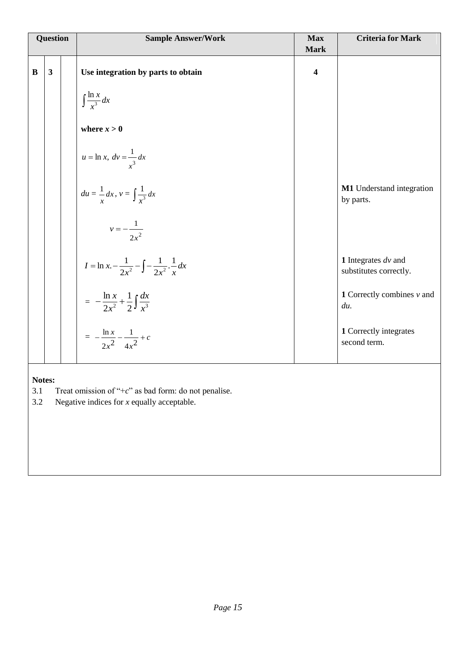| Question |              | <b>Sample Answer/Work</b>                                                | <b>Max</b><br><b>Mark</b> | <b>Criteria for Mark</b>                        |
|----------|--------------|--------------------------------------------------------------------------|---------------------------|-------------------------------------------------|
| $\bf{B}$ | $\mathbf{3}$ | Use integration by parts to obtain                                       | $\overline{\mathbf{4}}$   |                                                 |
|          |              | $\int \frac{\ln x}{x^3} dx$                                              |                           |                                                 |
|          |              | where $x > 0$                                                            |                           |                                                 |
|          |              | $u = \ln x, dv = \frac{1}{x^3} dx$                                       |                           |                                                 |
|          |              | $du = \frac{1}{r} dx$ , $v = \int \frac{1}{r^3} dx$                      |                           | M1 Understand integration<br>by parts.          |
|          |              | $v=-\frac{1}{2x^2}$                                                      |                           |                                                 |
|          |              | $I = \ln x - \frac{1}{2x^2} - \int -\frac{1}{2x^2} \cdot \frac{1}{x} dx$ |                           | 1 Integrates $dv$ and<br>substitutes correctly. |
|          |              | $= -\frac{\ln x}{2x^2} + \frac{1}{2}\int \frac{dx}{x^3}$                 |                           | <b>1</b> Correctly combines $v$ and<br>du.      |
|          |              | $= -\frac{\ln x}{2x^2} - \frac{1}{4x^2} + c$                             |                           | 1 Correctly integrates<br>second term.          |
|          |              |                                                                          |                           |                                                 |

**Notes:**<br>3.1 3.1 Treat omission of " $+c$ " as bad form: do not penalise.<br>3.2 Negative indices for x equally acceptable.

Negative indices for *x* equally acceptable.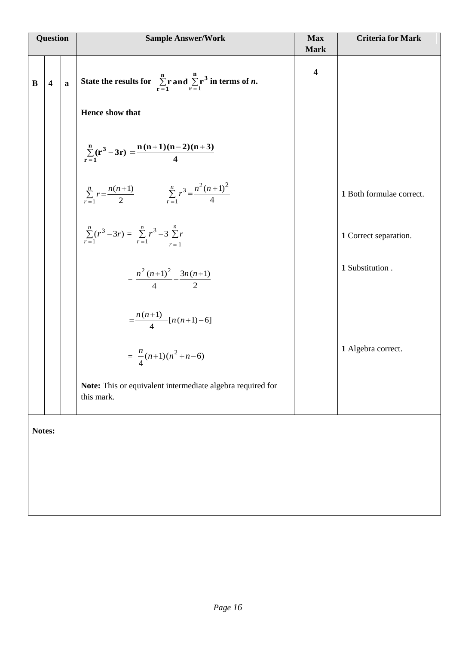| Question |                         |              | <b>Sample Answer/Work</b><br><b>Max</b><br><b>Mark</b>                                              |                         | <b>Criteria for Mark</b> |
|----------|-------------------------|--------------|-----------------------------------------------------------------------------------------------------|-------------------------|--------------------------|
| B        | $\overline{\mathbf{4}}$ | $\mathbf{a}$ | State the results for $\sum_{r=1}^{n}$ r and $\sum_{r=1}^{n}$ r <sup>3</sup> in terms of <i>n</i> . | $\overline{\mathbf{4}}$ |                          |
|          |                         |              | Hence show that                                                                                     |                         |                          |
|          |                         |              | $\sum_{r=1}^{n} (r^3 - 3r) = \frac{n(n+1)(n-2)(n+3)}{4}$                                            |                         |                          |
|          |                         |              | $\sum_{r=1}^{n} r = \frac{n(n+1)}{2}$ $\sum_{r=1}^{n} r^3 = \frac{n^2(n+1)^2}{4}$                   |                         | 1 Both formulae correct. |
|          |                         |              | $\sum_{r=1}^{n} (r^3 - 3r) = \sum_{r=1}^{n} r^3 - 3 \sum_{r=1}^{n} r$                               |                         | 1 Correct separation.    |
|          |                         |              | $=\frac{n^2(n+1)^2}{4}-\frac{3n(n+1)}{2}$                                                           |                         | 1 Substitution.          |
|          |                         |              | $=\frac{n(n+1)}{4} [n(n+1)-6]$                                                                      |                         |                          |
|          |                         |              | $=\frac{n}{4}(n+1)(n^2+n-6)$                                                                        |                         | 1 Algebra correct.       |
|          |                         |              | Note: This or equivalent intermediate algebra required for<br>this mark.                            |                         |                          |
|          | Notes:                  |              |                                                                                                     |                         |                          |
|          |                         |              |                                                                                                     |                         |                          |
|          |                         |              |                                                                                                     |                         |                          |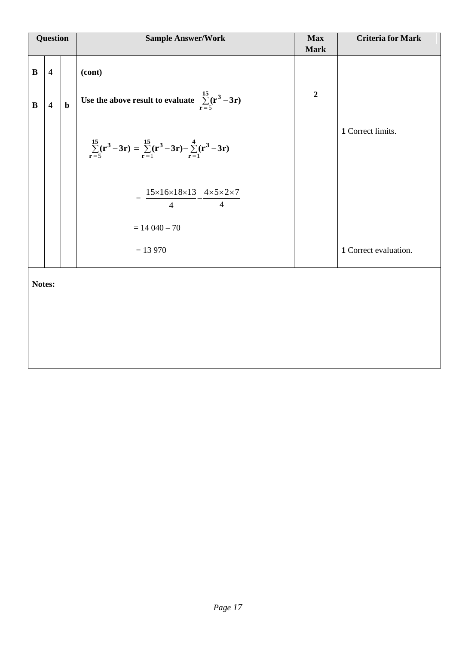| <b>Question</b>         |             | <b>Sample Answer/Work</b><br><b>Max</b><br><b>Mark</b>                   |                | <b>Criteria for Mark</b> |  |  |  |  |
|-------------------------|-------------|--------------------------------------------------------------------------|----------------|--------------------------|--|--|--|--|
| $\overline{\mathbf{4}}$ |             | (cont)                                                                   |                |                          |  |  |  |  |
| $\overline{\mathbf{4}}$ | $\mathbf b$ | Use the above result to evaluate $\sum_{r=5}^{15} (r^3 - 3r)$            | $\overline{2}$ |                          |  |  |  |  |
|                         |             | $\sum_{r=5}^{15}(r^3-3r)=\sum_{r=1}^{15}(r^3-3r)-\sum_{r=1}^{4}(r^3-3r)$ |                | 1 Correct limits.        |  |  |  |  |
|                         |             | $=\frac{15\times16\times18\times13}{4}-\frac{4\times5\times2\times7}{4}$ |                |                          |  |  |  |  |
|                         |             | $= 14040 - 70$                                                           |                |                          |  |  |  |  |
|                         |             | $= 13970$                                                                |                | 1 Correct evaluation.    |  |  |  |  |
| Notes:                  |             |                                                                          |                |                          |  |  |  |  |
|                         |             |                                                                          |                |                          |  |  |  |  |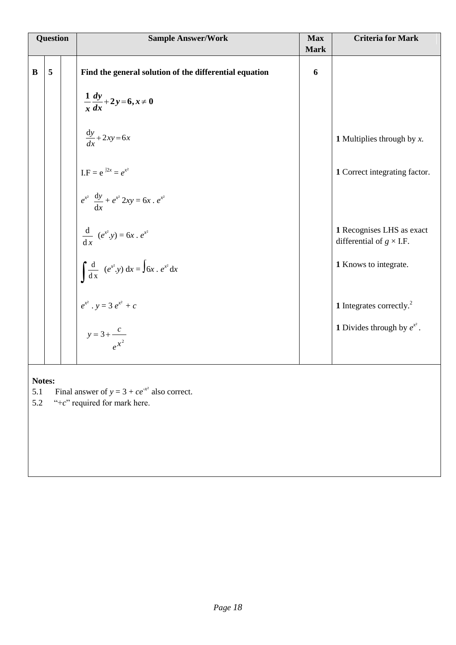|          | Question                                          |  | <b>Sample Answer/Work</b>                                           | <b>Max</b><br><b>Mark</b> | <b>Criteria for Mark</b>                                     |  |
|----------|---------------------------------------------------|--|---------------------------------------------------------------------|---------------------------|--------------------------------------------------------------|--|
|          |                                                   |  |                                                                     |                           |                                                              |  |
| $\bf{B}$ | 5                                                 |  | Find the general solution of the differential equation              | 6                         |                                                              |  |
|          |                                                   |  | $\frac{1}{x}\frac{dy}{dx}+2y=6, x\neq 0$                            |                           |                                                              |  |
|          |                                                   |  | $\frac{dy}{dx} + 2xy = 6x$                                          |                           | <b>1</b> Multiplies through by $x$ .                         |  |
|          |                                                   |  | I.F = $e^{j2x} = e^{x^2}$                                           |                           | 1 Correct integrating factor.                                |  |
|          |                                                   |  | $e^{x^2} \frac{dy}{dx} + e^{x^2} 2xy = 6x \cdot e^{x^2}$            |                           |                                                              |  |
|          |                                                   |  | $rac{d}{dx}$ $(e^{x^2}.y) = 6x \cdot e^{x^2}$                       |                           | 1 Recognises LHS as exact<br>differential of $g \times I.F.$ |  |
|          |                                                   |  | $\int \frac{d}{dx} (e^{x^2} \cdot y) dx = \int 6x \cdot e^{x^2} dx$ |                           | 1 Knows to integrate.                                        |  |
|          |                                                   |  |                                                                     |                           | 1 Integrates correctly. $^{2}$                               |  |
|          |                                                   |  | $e^{x^2}$ . $y = 3 e^{x^2} + c$<br>$y = 3 + \frac{c}{e^{x^2}}$      |                           | <b>1</b> Divides through by $e^{x^2}$ .                      |  |
|          |                                                   |  |                                                                     |                           |                                                              |  |
| Notes:   |                                                   |  |                                                                     |                           |                                                              |  |
| 5.1      | Final answer of $y = 3 + ce^{-x^2}$ also correct. |  |                                                                     |                           |                                                              |  |

5.2  $\degree$  *c*  $\degree$  required for mark here.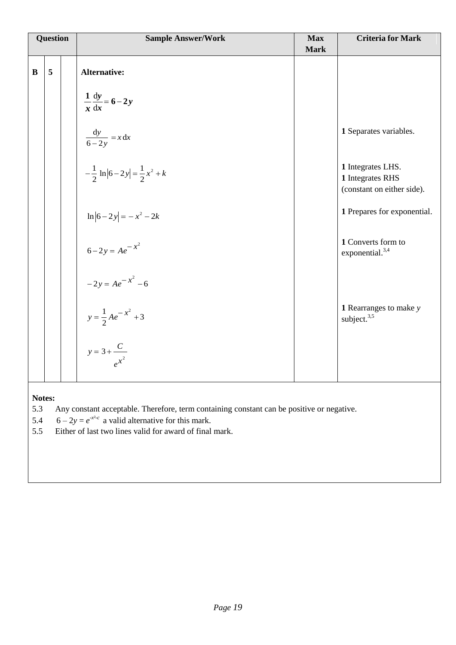| Question |   | <b>Sample Answer/Work</b>                       | <b>Max</b><br><b>Mark</b> | <b>Criteria for Mark</b>                                   |  |  |  |
|----------|---|-------------------------------------------------|---------------------------|------------------------------------------------------------|--|--|--|
|          |   |                                                 |                           |                                                            |  |  |  |
| $\bf{B}$ | 5 | <b>Alternative:</b>                             |                           |                                                            |  |  |  |
|          |   |                                                 |                           |                                                            |  |  |  |
|          |   | $\frac{1}{x} \frac{dy}{dx} = 6 - 2y$            |                           |                                                            |  |  |  |
|          |   |                                                 |                           |                                                            |  |  |  |
|          |   | $\frac{dy}{6-2y} = x dx$                        |                           | 1 Separates variables.                                     |  |  |  |
|          |   |                                                 |                           |                                                            |  |  |  |
|          |   |                                                 |                           | 1 Integrates LHS.                                          |  |  |  |
|          |   | $-\frac{1}{2} \ln  6-2y  = \frac{1}{2} x^2 + k$ |                           | 1 Integrates RHS                                           |  |  |  |
|          |   |                                                 |                           | (constant on either side).                                 |  |  |  |
|          |   |                                                 |                           | 1 Prepares for exponential.                                |  |  |  |
|          |   | $\ln 6-2y  = -x^2-2k$                           |                           |                                                            |  |  |  |
|          |   |                                                 |                           | 1 Converts form to                                         |  |  |  |
|          |   | $6-2y = Ae^{-x^2}$                              |                           | exponential. <sup>3,4</sup>                                |  |  |  |
|          |   |                                                 |                           |                                                            |  |  |  |
|          |   | $-2y = Ae^{-x^2} -6$                            |                           |                                                            |  |  |  |
|          |   |                                                 |                           |                                                            |  |  |  |
|          |   | $y = \frac{1}{2}Ae^{-x^2} + 3$                  |                           | <b>1</b> Rearranges to make $y$<br>subject. <sup>3,5</sup> |  |  |  |
|          |   |                                                 |                           |                                                            |  |  |  |
|          |   |                                                 |                           |                                                            |  |  |  |
|          |   | $y = 3 + \frac{C}{e^{x^2}}$                     |                           |                                                            |  |  |  |
|          |   |                                                 |                           |                                                            |  |  |  |
|          |   |                                                 |                           |                                                            |  |  |  |

# **Notes:**<br>5.3

5.3 Any constant acceptable. Therefore, term containing constant can be positive or negative.

5.4 6 –  $2y = e^{x^2-c}$  a valid alternative for this mark.

5.5 Either of last two lines valid for award of final mark.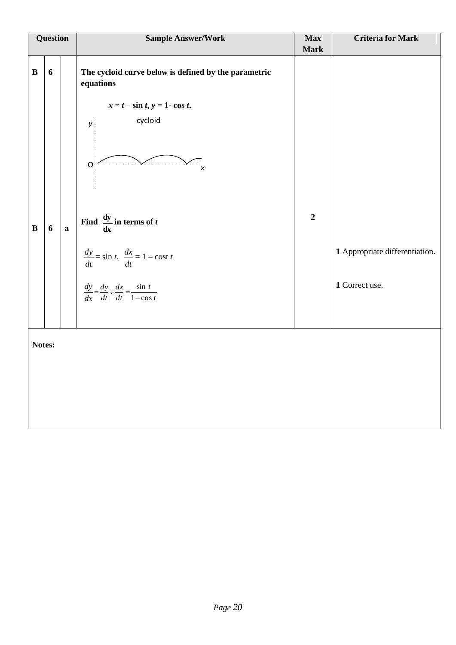|                              | Question              |              | <b>Sample Answer/Work</b>                                                                                                                                                                                                                                                                                                               | <b>Max</b><br><b>Mark</b> | <b>Criteria for Mark</b>                         |  |  |  |
|------------------------------|-----------------------|--------------|-----------------------------------------------------------------------------------------------------------------------------------------------------------------------------------------------------------------------------------------------------------------------------------------------------------------------------------------|---------------------------|--------------------------------------------------|--|--|--|
| $\, {\bf B}$<br>$\, {\bf B}$ | $\boldsymbol{6}$<br>6 | $\mathbf{a}$ | The cycloid curve below is defined by the parametric<br>equations<br>$x = t - \sin t, y = 1 - \cos t.$<br>cycloid<br>$\mathsf{y}$<br>$\circ$<br>X<br>Find $\frac{dy}{dx}$ in terms of t<br>$\frac{dy}{dt} = \sin t, \ \frac{dx}{dt} = 1 - \cos t \ t$<br>$\frac{dy}{dx} = \frac{dy}{dt} \div \frac{dx}{dt} = \frac{\sin t}{1 - \cos t}$ | $\boldsymbol{2}$          | 1 Appropriate differentiation.<br>1 Correct use. |  |  |  |
|                              | Notes:                |              |                                                                                                                                                                                                                                                                                                                                         |                           |                                                  |  |  |  |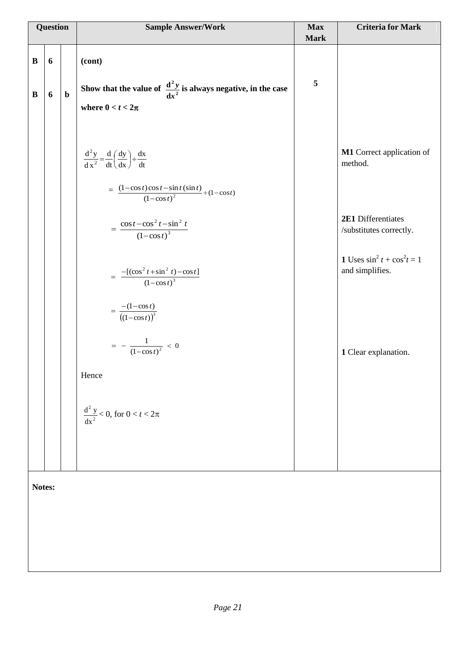| <b>Question</b>      |        |             | <b>Sample Answer/Work</b>                                                                                                                                                                                                                                                                                                                                                                                                    | <b>Max</b><br><b>Mark</b> | <b>Criteria for Mark</b>                                                                                                                                                    |  |  |
|----------------------|--------|-------------|------------------------------------------------------------------------------------------------------------------------------------------------------------------------------------------------------------------------------------------------------------------------------------------------------------------------------------------------------------------------------------------------------------------------------|---------------------------|-----------------------------------------------------------------------------------------------------------------------------------------------------------------------------|--|--|
| $\bf{B}$<br>$\bf{B}$ | 6<br>6 | $\mathbf b$ | (cont)<br>Show that the value of $\frac{d^2 y}{dx^2}$ is always negative, in the case                                                                                                                                                                                                                                                                                                                                        | 5                         |                                                                                                                                                                             |  |  |
|                      |        |             | where $0 < t < 2\pi$                                                                                                                                                                                                                                                                                                                                                                                                         |                           |                                                                                                                                                                             |  |  |
|                      |        |             | $rac{d^2y}{dx^2} = \frac{d}{dt} \left(\frac{dy}{dx}\right) \div \frac{dx}{dt}$<br>$=\frac{(1-\cos t)\cos t-\sin t(\sin t)}{(1-\cos t)^2} \div (1-\cos t)$<br>$=\frac{\cos t-\cos^2 t-\sin^2 t}{\left(1-\cos t\right)^3}$<br>$= \frac{-[(\cos^2 t + \sin^2 t) - \cos t]}{(1 - \cos t)^3}$<br>$=\frac{-(1-\cos t)}{(1-\cos t)^3}$<br>$= - \frac{1}{(1-\cos t)^2} < 0$<br>Hence<br>$\frac{d^2 y}{dx^2}$ < 0, for $0 < t < 2\pi$ |                           | M1 Correct application of<br>method.<br>2E1 Differentiates<br>/substitutes correctly.<br><b>1</b> Uses $\sin^2 t + \cos^2 t = 1$<br>and simplifies.<br>1 Clear explanation. |  |  |
|                      |        |             |                                                                                                                                                                                                                                                                                                                                                                                                                              |                           |                                                                                                                                                                             |  |  |
|                      | Notes: |             |                                                                                                                                                                                                                                                                                                                                                                                                                              |                           |                                                                                                                                                                             |  |  |
|                      |        |             |                                                                                                                                                                                                                                                                                                                                                                                                                              |                           |                                                                                                                                                                             |  |  |
|                      |        |             |                                                                                                                                                                                                                                                                                                                                                                                                                              |                           |                                                                                                                                                                             |  |  |